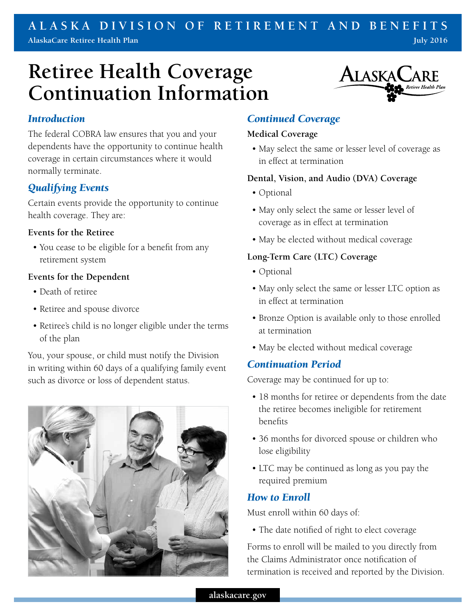## **ALASKA DIVISION OF RETIREMENT AND BENEFITS AlaskaCare Retiree Health Plan July 2016**

# **Retiree Health Coverage Continuation Information**



## *Introduction*

The federal COBRA law ensures that you and your dependents have the opportunity to continue health coverage in certain circumstances where it would normally terminate.

## *Qualifying Events*

Certain events provide the opportunity to continue health coverage. They are:

#### **Events for the Retiree**

• You cease to be eligible for a benefit from any retirement system

## **Events for the Dependent**

- Death of retiree
- Retiree and spouse divorce
- Retiree's child is no longer eligible under the terms of the plan

You, your spouse, or child must notify the Division in writing within 60 days of a qualifying family event such as divorce or loss of dependent status.



## *Continued Coverage*

#### **Medical Coverage**

• May select the same or lesser level of coverage as in effect at termination

## **Dental, Vision, and Audio (DVA) Coverage**

- Optional
- May only select the same or lesser level of coverage as in effect at termination
- May be elected without medical coverage

## **Long-Term Care (LTC) Coverage**

- Optional
- May only select the same or lesser LTC option as in effect at termination
- Bronze Option is available only to those enrolled at termination
- May be elected without medical coverage

## *Continuation Period*

Coverage may be continued for up to:

- 18 months for retiree or dependents from the date the retiree becomes ineligible for retirement benefits
- 36 months for divorced spouse or children who lose eligibility
- LTC may be continued as long as you pay the required premium

## *How to Enroll*

Must enroll within 60 days of:

• The date notified of right to elect coverage

Forms to enroll will be mailed to you directly from the Claims Administrator once notification of termination is received and reported by the Division.